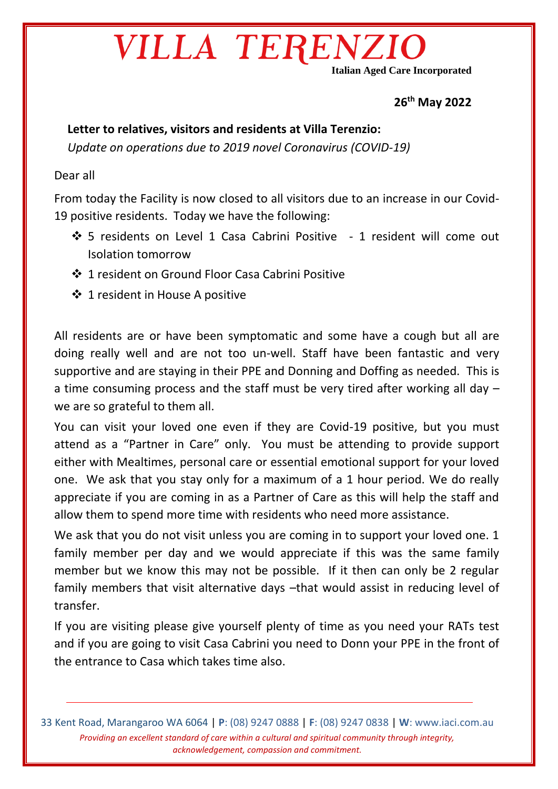# VILLA TERENZ

**Italian Aged Care Incorporated**

**26th May 2022**

#### **Letter to relatives, visitors and residents at Villa Terenzio:**

*Update on operations due to 2019 novel Coronavirus (COVID-19)* 

#### Dear all

From today the Facility is now closed to all visitors due to an increase in our Covid-19 positive residents. Today we have the following:

- 5 residents on Level 1 Casa Cabrini Positive 1 resident will come out Isolation tomorrow
- 1 resident on Ground Floor Casa Cabrini Positive
- ❖ 1 resident in House A positive

All residents are or have been symptomatic and some have a cough but all are doing really well and are not too un-well. Staff have been fantastic and very supportive and are staying in their PPE and Donning and Doffing as needed. This is a time consuming process and the staff must be very tired after working all day – we are so grateful to them all.

You can visit your loved one even if they are Covid-19 positive, but you must attend as a "Partner in Care" only. You must be attending to provide support either with Mealtimes, personal care or essential emotional support for your loved one. We ask that you stay only for a maximum of a 1 hour period. We do really appreciate if you are coming in as a Partner of Care as this will help the staff and allow them to spend more time with residents who need more assistance.

We ask that you do not visit unless you are coming in to support your loved one. 1 family member per day and we would appreciate if this was the same family member but we know this may not be possible. If it then can only be 2 regular family members that visit alternative days –that would assist in reducing level of transfer.

If you are visiting please give yourself plenty of time as you need your RATs test and if you are going to visit Casa Cabrini you need to Donn your PPE in the front of the entrance to Casa which takes time also.

33 Kent Road, Marangaroo WA 6064 | **P**: (08) 9247 0888 | **F**: (08) 9247 0838 | **W**: www.iaci.com.au *Providing an excellent standard of care within a cultural and spiritual community through integrity, acknowledgement, compassion and commitment.*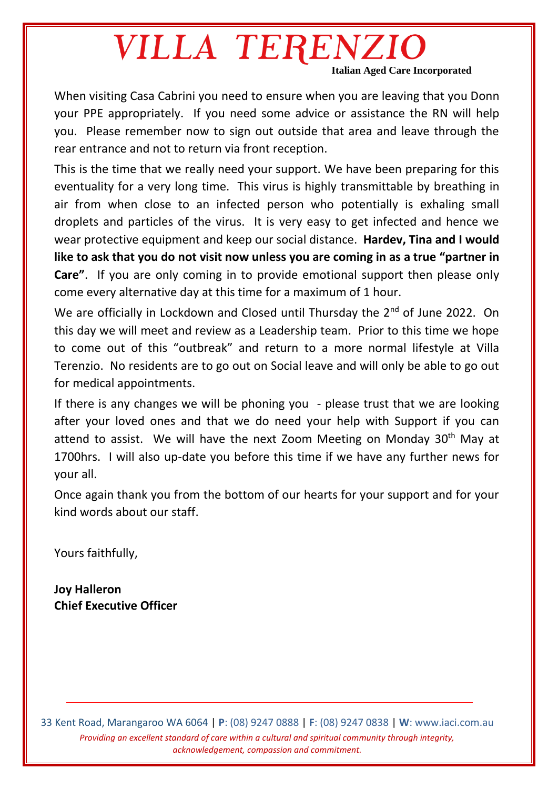## VILLA TERENZIO **Italian Aged Care Incorporated**

When visiting Casa Cabrini you need to ensure when you are leaving that you Donn your PPE appropriately. If you need some advice or assistance the RN will help you. Please remember now to sign out outside that area and leave through the rear entrance and not to return via front reception.

This is the time that we really need your support. We have been preparing for this eventuality for a very long time. This virus is highly transmittable by breathing in air from when close to an infected person who potentially is exhaling small droplets and particles of the virus. It is very easy to get infected and hence we wear protective equipment and keep our social distance. **Hardev, Tina and I would like to ask that you do not visit now unless you are coming in as a true "partner in Care"**. If you are only coming in to provide emotional support then please only come every alternative day at this time for a maximum of 1 hour.

We are officially in Lockdown and Closed until Thursday the 2<sup>nd</sup> of June 2022. On this day we will meet and review as a Leadership team. Prior to this time we hope to come out of this "outbreak" and return to a more normal lifestyle at Villa Terenzio. No residents are to go out on Social leave and will only be able to go out for medical appointments.

If there is any changes we will be phoning you - please trust that we are looking after your loved ones and that we do need your help with Support if you can attend to assist. We will have the next Zoom Meeting on Monday 30<sup>th</sup> May at 1700hrs. I will also up-date you before this time if we have any further news for your all.

Once again thank you from the bottom of our hearts for your support and for your kind words about our staff.

Yours faithfully,

**Joy Halleron Chief Executive Officer**